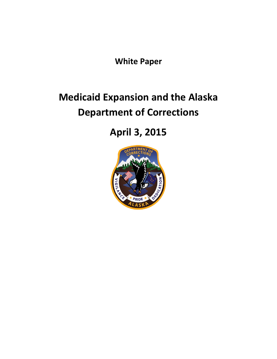**White Paper**

# **Medicaid Expansion and the Alaska Department of Corrections**

# **April 3, 2015**

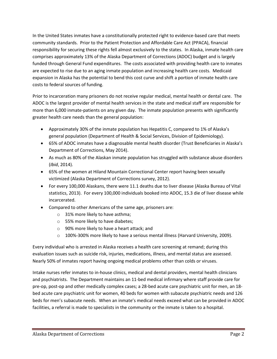In the United States inmates have a constitutionally protected right to evidence-based care that meets community standards. Prior to the Patient Protection and Affordable Care Act (PPACA), financial responsibility for securing these rights fell almost exclusively to the states. In Alaska, inmate health care comprises approximately 13% of the Alaska Department of Corrections (ADOC) budget and is largely funded through General Fund expenditures. The costs associated with providing health care to inmates are expected to rise due to an aging inmate population and increasing health care costs. Medicaid expansion in Alaska has the potential to bend this cost curve and shift a portion of inmate health care costs to federal sources of funding.

Prior to incarceration many prisoners do not receive regular medical, mental health or dental care. The ADOC is the largest provider of mental health services in the state and medical staff are responsible for more than 6,000 inmate-patients on any given day. The inmate population presents with significantly greater health care needs than the general population:

- Approximately 30% of the inmate population has Hepatitis C, compared to 1% of Alaska's general population (Department of Health & Social Services, Division of Epidemiology).
- 65% of ADOC inmates have a diagnosable mental health disorder (Trust Beneficiaries in Alaska's Department of Corrections, May 2014).
- As much as 80% of the Alaskan inmate population has struggled with substance abuse disorders (*Ibid*, 2014).
- 65% of the women at Hiland Mountain Correctional Center report having been sexually victimized (Alaska Department of Corrections survey, 2012).
- For every 100,000 Alaskans, there were 11.1 deaths due to liver disease (Alaska Bureau of Vital statistics, 2013). For every 100,000 individuals booked into ADOC, 15.3 die of liver disease while incarcerated.
- Compared to other Americans of the same age, prisoners are:
	- o 31% more likely to have asthma;
	- o 55% more likely to have diabetes;
	- o 90% more likely to have a heart attack; and
	- $\circ$  100%-300% more likely to have a serious mental illness (Harvard University, 2009).

Every individual who is arrested in Alaska receives a health care screening at remand; during this evaluation issues such as suicide risk, injuries, medications, illness, and mental status are assessed. Nearly 50% of inmates report having ongoing medical problems other than colds or viruses.

Intake nurses refer inmates to in-house clinics, medical and dental providers, mental health clinicians and psychiatrists. The Department maintains an 11-bed medical infirmary where staff provide care for pre-op, post-op and other medically complex cases; a 28-bed acute care psychiatric unit for men, an 18 bed acute care psychiatric unit for women, 40 beds for women with subacute psychiatric needs and 126 beds for men's subacute needs. When an inmate's medical needs exceed what can be provided in ADOC facilities, a referral is made to specialists in the community or the inmate is taken to a hospital.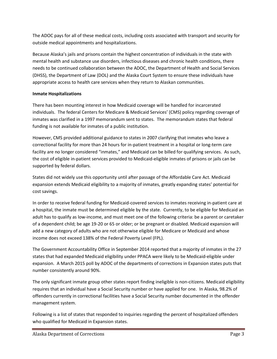The ADOC pays for all of these medical costs, including costs associated with transport and security for outside medical appointments and hospitalizations.

Because Alaska's jails and prisons contain the highest concentration of individuals in the state with mental health and substance use disorders, infectious diseases and chronic health conditions, there needs to be continued collaboration between the ADOC, the Department of Health and Social Services (DHSS), the Department of Law (DOL) and the Alaska Court System to ensure these individuals have appropriate access to health care services when they return to Alaskan communities.

### **Inmate Hospitalizations**

There has been mounting interest in how Medicaid coverage will be handled for incarcerated individuals. The federal Centers for Medicare & Medicaid Services' (CMS) policy regarding coverage of inmates was clarified in a 1997 memorandum sent to states. The memorandum states that federal funding is not available for inmates of a public institution.

However, CMS provided additional guidance to states in 2007 clarifying that inmates who leave a correctional facility for more than 24 hours for in-patient treatment in a hospital or long-term care facility are no longer considered "inmates," and Medicaid can be billed for qualifying services. As such, the cost of eligible in-patient services provided to Medicaid-eligible inmates of prisons or jails can be supported by federal dollars.

States did not widely use this opportunity until after passage of the Affordable Care Act. Medicaid expansion extends Medicaid eligibility to a majority of inmates, greatly expanding states' potential for cost savings.

In order to receive federal funding for Medicaid-covered services to inmates receiving in-patient care at a hospital, the inmate must be determined eligible by the state. Currently, to be eligible for Medicaid an adult has to qualify as low-income, and must meet one of the following criteria: be a parent or caretaker of a dependent child; be age 19-20 or 65 or older; or be pregnant or disabled. Medicaid expansion will add a new category of adults who are not otherwise eligible for Medicare or Medicaid and whose income does not exceed 138% of the Federal Poverty Level (FPL).

The Government Accountability Office in September 2014 reported that a majority of inmates in the 27 states that had expanded Medicaid eligibility under PPACA were likely to be Medicaid-eligible under expansion. A March 2015 poll by ADOC of the departments of corrections in Expansion states puts that number consistently around 90%.

The only significant inmate group other states report finding ineligible is non-citizens. Medicaid eligibility requires that an individual have a Social Security number or have applied for one. In Alaska, 98.2% of offenders currently in correctional facilities have a Social Security number documented in the offender management system.

Following is a list of states that responded to inquiries regarding the percent of hospitalized offenders who qualified for Medicaid in Expansion states.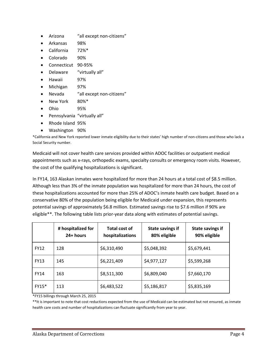- Arizona "all except non-citizens"
- Arkansas 98%
- California 72%\*
- Colorado 90%
- Connecticut 90-95%
- Delaware "virtually all"
- Hawaii 97%
- Michigan 97%
- Nevada "all except non-citizens"
- New York 80%\*
- Ohio 95%
- Pennsylvania "virtually all"
- Rhode Island 95%
- Washington 90%

\*California and New York reported lower inmate eligibility due to their states' high number of non-citizens and those who lack a Social Security number.

Medicaid will not cover health care services provided within ADOC facilities or outpatient medical appointments such as x-rays, orthopedic exams, specialty consults or emergency room visits. However, the cost of the qualifying hospitalizations is significant.

In FY14, 163 Alaskan inmates were hospitalized for more than 24 hours at a total cost of \$8.5 million. Although less than 3% of the inmate population was hospitalized for more than 24 hours, the cost of these hospitalizations accounted for more than 25% of ADOC's inmate health care budget. Based on a conservative 80% of the population being eligible for Medicaid under expansion, this represents potential savings of approximately \$6.8 million. Estimated savings rise to \$7.6 million if 90% are eligible\*\*. The following table lists prior-year data along with estimates of potential savings.

|             | # hospitalized for<br>24+ hours | Total cost of<br>hospitalizations | <b>State savings if</b><br>80% eligible | <b>State savings if</b><br>90% eligible |
|-------------|---------------------------------|-----------------------------------|-----------------------------------------|-----------------------------------------|
| <b>FY12</b> | 128                             | \$6,310,490                       | \$5,048,392                             | \$5,679,441                             |
| <b>FY13</b> | 145                             | \$6,221,409                       | \$4,977,127                             | \$5,599,268                             |
| <b>FY14</b> | 163                             | \$8,511,300                       | \$6,809,040                             | \$7,660,170                             |
| FY15*       | 113                             | \$6,483,522                       | \$5,186,817                             | \$5,835,169                             |

\*FY15 billings through March 25, 2015

\*\*It is important to note that cost reductions expected from the use of Medicaid can be estimated but not ensured, as inmate health care costs and number of hospitalizations can fluctuate significantly from year to year.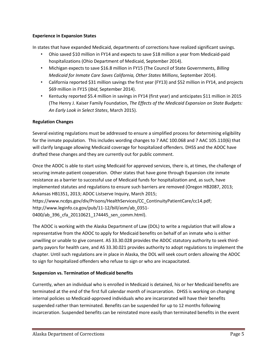#### **Experience in Expansion States**

In states that have expanded Medicaid, departments of corrections have realized significant savings.

- Ohio saved \$10 million in FY14 and expects to save \$18 million a year from Medicaid-paid hospitalizations (Ohio Department of Medicaid, September 2014).
- Michigan expects to save \$16.8 million in FY15 (The Council of State Governments, *Billing Medicaid for Inmate Care Saves California, Other States Millions*, September 2014).
- California reported \$31 million savings the first year (FY13) and \$52 million in FY14, and projects \$69 million in FY15 (*Ibid*, September 2014).
- Kentucky reported \$5.4 million in savings in FY14 (first year) and anticipates \$11 million in 2015 (The Henry J. Kaiser Family Foundation, *The Effects of the Medicaid Expansion on State Budgets: An Early Look in Select States*, March 2015).

### **Regulation Changes**

Several existing regulations must be addressed to ensure a simplified process for determining eligibility for the inmate population. This includes wording changes to 7 AAC 100.068 and 7 AAC 105.110(6) that will clarify language allowing Medicaid coverage for hospitalized offenders. DHSS and the ADOC have drafted these changes and they are currently out for public comment.

Once the ADOC is able to start using Medicaid for approved services, there is, at times, the challenge of securing inmate-patient cooperation. Other states that have gone through Expansion cite inmate resistance as a barrier to successful use of Medicaid funds for hospitalization and, as such, have implemented statutes and regulations to ensure such barriers are removed (Oregon HB2087, 2013; Arkansas HB1351, 2013; ADOC Listserve Inquiry, March 2015; [https://www.ncdps.gov/div/Prisons/HealthServices/CC\\_ContinuityPatientCare/cc14.pdf;](https://www.ncdps.gov/div/Prisons/HealthServices/CC_ContinuityPatientCare/cc14.pdf) [http://www.leginfo.ca.gov/pub/11-12/bill/asm/ab\\_0351-](http://www.leginfo.ca.gov/pub/11-12/bill/asm/ab_0351-0400/ab_396_cfa_20110621_174445_sen_comm.html) 0400/ab 396 cfa 20110621 174445 sen comm.html).

The ADOC is working with the Alaska Department of Law (DOL) to write a regulation that will allow a representative from the ADOC to apply for Medicaid benefits on behalf of an inmate who is either unwilling or unable to give consent. AS 33.30.028 provides the ADOC statutory authority to seek thirdparty payors for health care, and AS 33.30.021 provides authority to adopt regulations to implement the chapter. Until such regulations are in place in Alaska, the DOL will seek court orders allowing the ADOC to sign for hospitalized offenders who refuse to sign or who are incapacitated.

#### **Suspension vs. Termination of Medicaid benefits**

Currently, when an individual who is enrolled in Medicaid is detained, his or her Medicaid benefits are terminated at the end of the first full calendar month of incarceration. DHSS is working on changing internal policies so Medicaid-approved individuals who are incarcerated will have their benefits suspended rather than terminated. Benefits can be suspended for up to 12 months following incarceration. Suspended benefits can be reinstated more easily than terminated benefits in the event